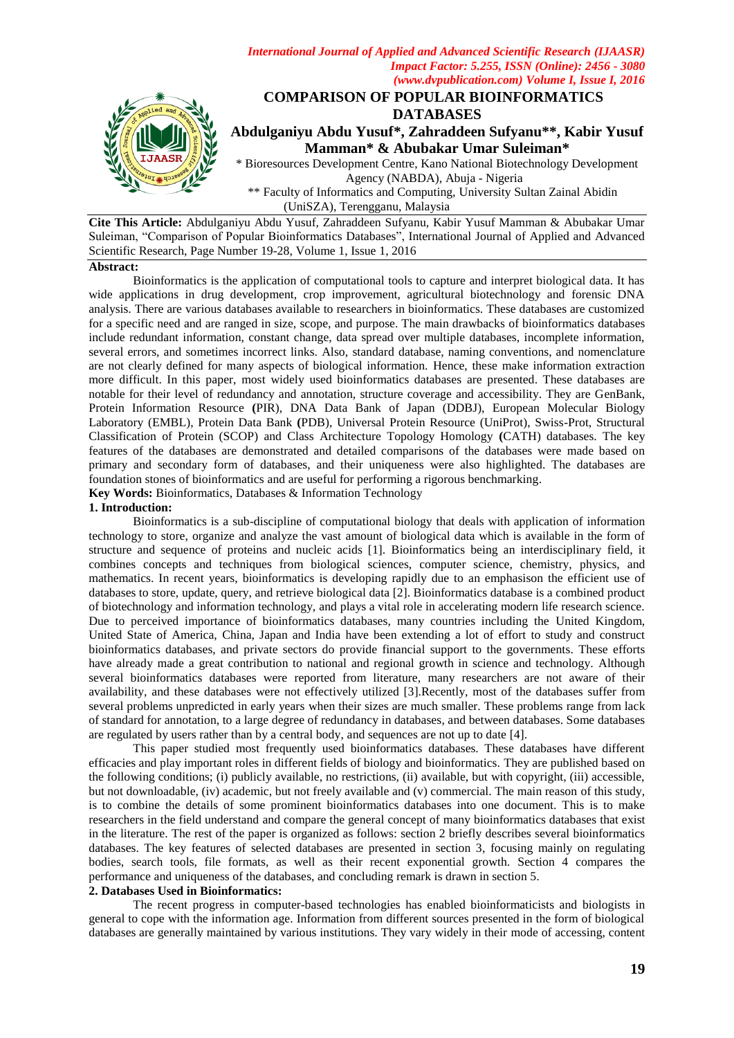

 \*\* Faculty of Informatics and Computing, University Sultan Zainal Abidin (UniSZA), Terengganu, Malaysia

**Cite This Article:** Abdulganiyu Abdu Yusuf, Zahraddeen Sufyanu, Kabir Yusuf Mamman & Abubakar Umar Suleiman, "Comparison of Popular Bioinformatics Databases", International Journal of Applied and Advanced Scientific Research, Page Number 19-28, Volume 1, Issue 1, 2016

#### **Abstract:**

Bioinformatics is the application of computational tools to capture and interpret biological data. It has wide applications in drug development, crop improvement, agricultural biotechnology and forensic DNA analysis. There are various databases available to researchers in bioinformatics. These databases are customized for a specific need and are ranged in size, scope, and purpose. The main drawbacks of bioinformatics databases include redundant information, constant change, data spread over multiple databases, incomplete information, several errors, and sometimes incorrect links. Also, standard database, naming conventions, and nomenclature are not clearly defined for many aspects of biological information. Hence, these make information extraction more difficult. In this paper, most widely used bioinformatics databases are presented. These databases are notable for their level of redundancy and annotation, structure coverage and accessibility. They are GenBank, Protein Information Resource **(**PIR), DNA Data Bank of Japan (DDBJ), European Molecular Biology Laboratory (EMBL), Protein Data Bank **(**PDB), Universal Protein Resource (UniProt), Swiss-Prot, Structural Classification of Protein (SCOP) and Class Architecture Topology Homology **(**CATH) databases. The key features of the databases are demonstrated and detailed comparisons of the databases were made based on primary and secondary form of databases, and their uniqueness were also highlighted. The databases are foundation stones of bioinformatics and are useful for performing a rigorous benchmarking.

**Key Words:** Bioinformatics, Databases & Information Technology

### **1. Introduction:**

Bioinformatics is a sub-discipline of computational biology that deals with application of information technology to store, organize and analyze the vast amount of biological data which is available in the form of structure and sequence of proteins and nucleic acids [1]. Bioinformatics being an interdisciplinary field, it combines concepts and techniques from biological sciences, computer science, chemistry, physics, and mathematics. In recent years, bioinformatics is developing rapidly due to an emphasison the efficient use of databases to store, update, query, and retrieve biological data [2]. Bioinformatics database is a combined product of biotechnology and information technology, and plays a vital role in accelerating modern life research science. Due to perceived importance of bioinformatics databases, many countries including the United Kingdom, United State of America, China, Japan and India have been extending a lot of effort to study and construct bioinformatics databases, and private sectors do provide financial support to the governments. These efforts have already made a great contribution to national and regional growth in science and technology. Although several bioinformatics databases were reported from literature, many researchers are not aware of their availability, and these databases were not effectively utilized [3].Recently, most of the databases suffer from several problems unpredicted in early years when their sizes are much smaller. These problems range from lack of standard for annotation, to a large degree of redundancy in databases, and between databases. Some databases are regulated by users rather than by a central body, and sequences are not up to date [4].

This paper studied most frequently used bioinformatics databases. These databases have different efficacies and play important roles in different fields of biology and bioinformatics. They are published based on the following conditions; (i) publicly available, no restrictions, (ii) available, but with copyright, (iii) accessible, but not downloadable, (iv) academic, but not freely available and (v) commercial. The main reason of this study, is to combine the details of some prominent bioinformatics databases into one document. This is to make researchers in the field understand and compare the general concept of many bioinformatics databases that exist in the literature. The rest of the paper is organized as follows: section 2 briefly describes several bioinformatics databases. The key features of selected databases are presented in section 3, focusing mainly on regulating bodies, search tools, file formats, as well as their recent exponential growth. Section 4 compares the performance and uniqueness of the databases, and concluding remark is drawn in section 5.

## **2. Databases Used in Bioinformatics:**

The recent progress in computer-based technologies has enabled bioinformaticists and biologists in general to cope with the information age. Information from different sources presented in the form of biological databases are generally maintained by various institutions. They vary widely in their mode of accessing, content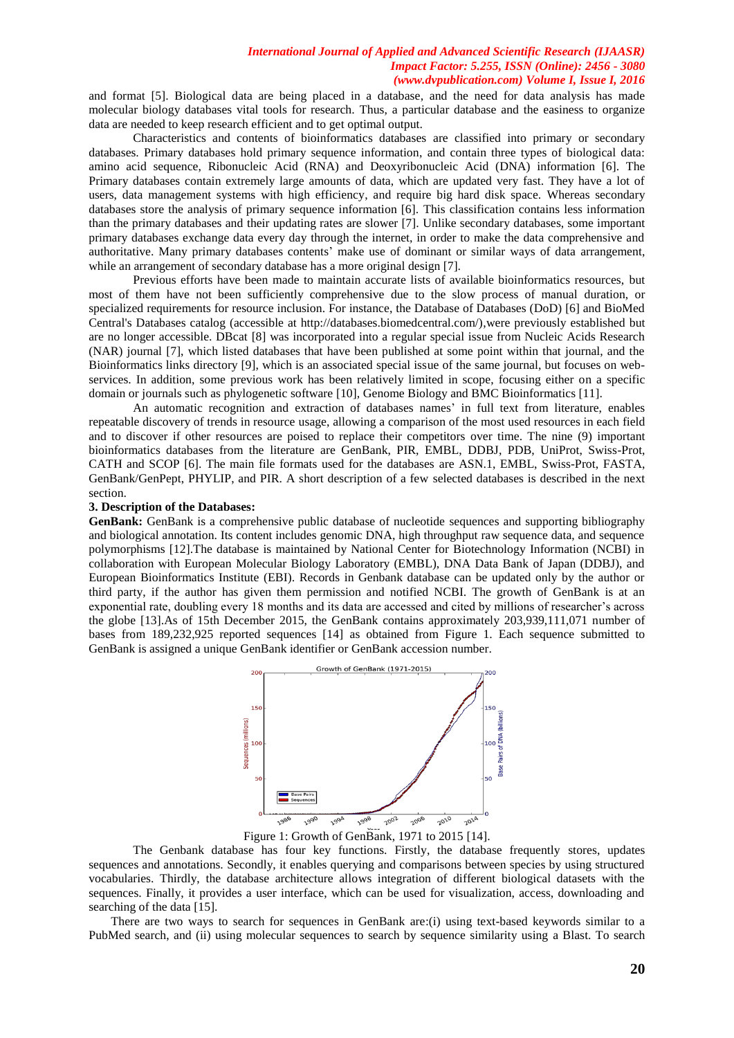and format [5]. Biological data are being placed in a database, and the need for data analysis has made molecular biology databases vital tools for research. Thus, a particular database and the easiness to organize data are needed to keep research efficient and to get optimal output.

Characteristics and contents of bioinformatics databases are classified into primary or secondary databases. Primary databases hold primary sequence information, and contain three types of biological data: amino acid sequence, Ribonucleic Acid (RNA) and Deoxyribonucleic Acid (DNA) information [6]. The Primary databases contain extremely large amounts of data, which are updated very fast. They have a lot of users, data management systems with high efficiency, and require big hard disk space. Whereas secondary databases store the analysis of primary sequence information [6]. This classification contains less information than the primary databases and their updating rates are slower [7]. Unlike secondary databases, some important primary databases exchange data every day through the internet, in order to make the data comprehensive and authoritative. Many primary databases contents' make use of dominant or similar ways of data arrangement, while an arrangement of secondary database has a more original design [7].

Previous efforts have been made to maintain accurate lists of available bioinformatics resources, but most of them have not been sufficiently comprehensive due to the slow process of manual duration, or specialized requirements for resource inclusion. For instance, the Database of Databases (DoD) [6] and BioMed Central's Databases catalog (accessible at http://databases.biomedcentral.com/),were previously established but are no longer accessible. DBcat [8] was incorporated into a regular special issue from Nucleic Acids Research (NAR) journal [7], which listed databases that have been published at some point within that journal, and the Bioinformatics links directory [9], which is an associated special issue of the same journal, but focuses on webservices. In addition, some previous work has been relatively limited in scope, focusing either on a specific domain or journals such as phylogenetic software [10], Genome Biology and BMC Bioinformatics [11].

An automatic recognition and extraction of databases names' in full text from literature, enables repeatable discovery of trends in resource usage, allowing a comparison of the most used resources in each field and to discover if other resources are poised to replace their competitors over time. The nine (9) important bioinformatics databases from the literature are GenBank, PIR, EMBL, DDBJ, PDB, UniProt, Swiss-Prot, CATH and SCOP [6]. The main file formats used for the databases are ASN.1, EMBL, Swiss-Prot, FASTA, GenBank/GenPept, PHYLIP, and PIR. A short description of a few selected databases is described in the next section.

### **3. Description of the Databases:**

**GenBank:** GenBank is a comprehensive public database of nucleotide sequences and supporting bibliography and biological annotation. Its content includes genomic DNA, high throughput raw sequence data, and sequence polymorphisms [12].The database is maintained by National Center for Biotechnology Information (NCBI) in collaboration with European Molecular Biology Laboratory (EMBL), DNA Data Bank of Japan (DDBJ), and European Bioinformatics Institute (EBI). Records in Genbank database can be updated only by the author or third party, if the author has given them permission and notified NCBI. The growth of GenBank is at an exponential rate, doubling every 18 months and its data are accessed and cited by millions of researcher's across the globe [13].As of 15th December 2015, the GenBank contains approximately 203,939,111,071 number of bases from 189,232,925 reported sequences [14] as obtained from Figure 1. Each sequence submitted to GenBank is assigned a unique GenBank identifier or GenBank accession number.



Figure 1: Growth of GenBank, 1971 to 2015 [14].

The Genbank database has four key functions. Firstly, the database frequently stores, updates sequences and annotations. Secondly, it enables querying and comparisons between species by using structured vocabularies. Thirdly, the database architecture allows integration of different biological datasets with the sequences. Finally, it provides a user interface, which can be used for visualization, access, downloading and searching of the data [15].

There are two ways to search for sequences in GenBank are:(i) using text-based keywords similar to a PubMed search, and (ii) using molecular sequences to search by sequence similarity using a Blast. To search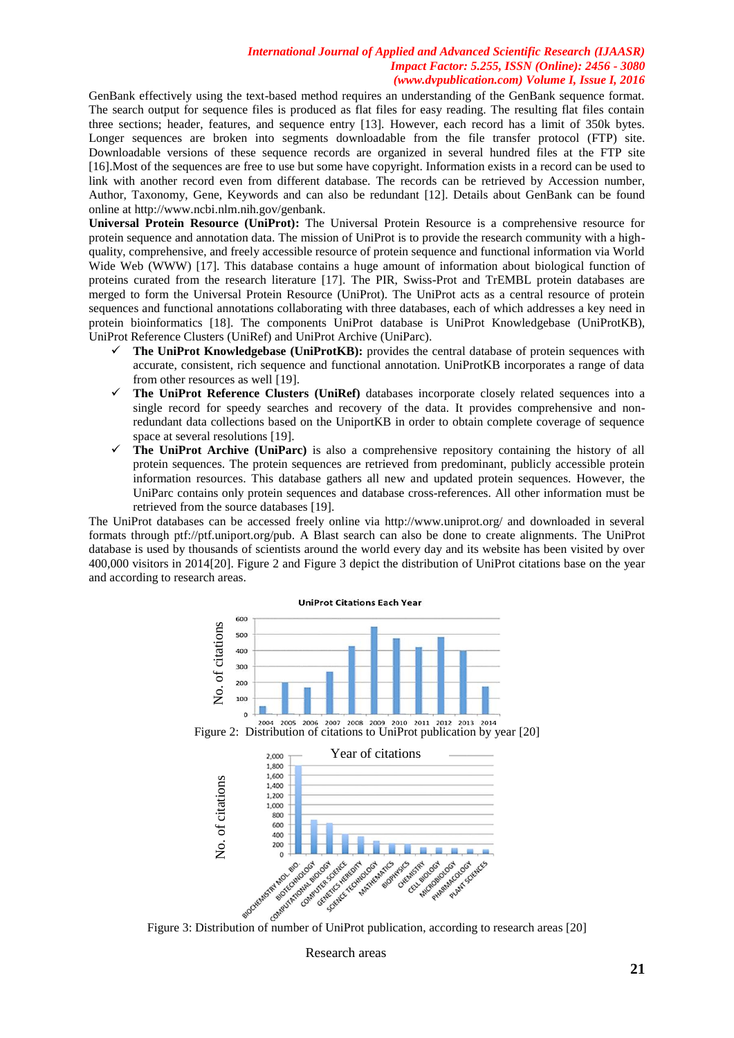GenBank effectively using the text-based method requires an understanding of the GenBank sequence format. The search output for sequence files is produced as flat files for easy reading. The resulting flat files contain three sections; header, features, and sequence entry [13]. However, each record has a limit of 350k bytes. Longer sequences are broken into segments downloadable from the file transfer protocol (FTP) site. Downloadable versions of these sequence records are organized in several hundred files at the FTP site [16].Most of the sequences are free to use but some have copyright. Information exists in a record can be used to link with another record even from different database. The records can be retrieved by Accession number, Author, Taxonomy, Gene, Keywords and can also be redundant [12]. Details about GenBank can be found online at http://www.ncbi.nlm.nih.gov/genbank.

**Universal Protein Resource (UniProt):** The Universal Protein Resource is a comprehensive resource for protein sequence and annotation data. The mission of UniProt is to provide the research community with a highquality, comprehensive, and freely accessible resource of protein sequence and functional information via World Wide Web (WWW) [17]. This database contains a huge amount of information about biological function of proteins curated from the research literature [17]. The PIR, Swiss-Prot and TrEMBL protein databases are merged to form the Universal Protein Resource (UniProt). The UniProt acts as a central resource of protein sequences and functional annotations collaborating with three databases, each of which addresses a key need in protein bioinformatics [18]. The components UniProt database is UniProt Knowledgebase (UniProtKB), UniProt Reference Clusters (UniRef) and UniProt Archive (UniParc).

- **The UniProt Knowledgebase (UniProtKB):** provides the central database of protein sequences with accurate, consistent, rich sequence and functional annotation. UniProtKB incorporates a range of data from other resources as well [19].
- **The UniProt Reference Clusters (UniRef)** databases incorporate closely related sequences into a single record for speedy searches and recovery of the data. It provides comprehensive and nonredundant data collections based on the UniportKB in order to obtain complete coverage of sequence space at several resolutions [19].
- **The UniProt Archive (UniParc)** is also a comprehensive repository containing the history of all protein sequences. The protein sequences are retrieved from predominant, publicly accessible protein information resources. This database gathers all new and updated protein sequences. However, the UniParc contains only protein sequences and database cross-references. All other information must be retrieved from the source databases [19].

The UniProt databases can be accessed freely online via http://www.uniprot.org/ and downloaded in several formats through ptf://ptf.uniport.org/pub. A Blast search can also be done to create alignments. The UniProt database is used by thousands of scientists around the world every day and its website has been visited by over 400,000 visitors in 2014[20]. Figure 2 and Figure 3 depict the distribution of UniProt citations base on the year and according to research areas.



Research areas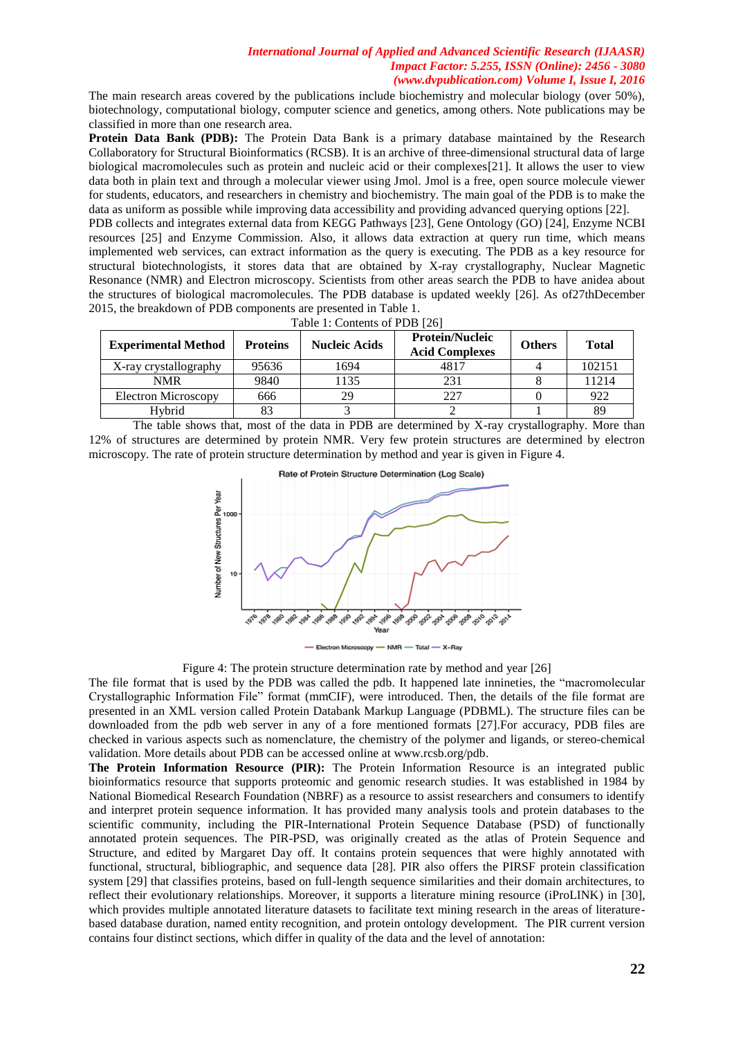The main research areas covered by the publications include biochemistry and molecular biology (over 50%), biotechnology, computational biology, computer science and genetics, among others. Note publications may be classified in more than one research area.

**Protein Data Bank (PDB):** The Protein Data Bank is a primary database maintained by the Research Collaboratory for Structural Bioinformatics (RCSB). It is an archive of three-dimensional structural data of large biological macromolecules such as protein and nucleic acid or their complexes[21]. It allows the user to view data both in plain text and through a molecular viewer using Jmol. Jmol is a free, open source molecule viewer for students, educators, and researchers in chemistry and biochemistry. The main goal of the PDB is to make the data as uniform as possible while improving data accessibility and providing advanced querying options [22].

PDB collects and integrates external data from KEGG Pathways [23], Gene Ontology (GO) [24], Enzyme NCBI resources [25] and Enzyme Commission. Also, it allows data extraction at query run time, which means implemented web services, can extract information as the query is executing. The PDB as a key resource for structural biotechnologists, it stores data that are obtained by X-ray crystallography, Nuclear Magnetic Resonance (NMR) and Electron microscopy. Scientists from other areas search the PDB to have anidea about the structures of biological macromolecules. The PDB database is updated weekly [26]. As of27thDecember 2015, the breakdown of PDB components are presented in Table 1. Table 1: Contents of PDB [26]

| <b>Experimental Method</b> | <b>Proteins</b> | Nucleic Acids | <b>Protein/Nucleic</b><br><b>Acid Complexes</b> | <b>Others</b> | <b>Total</b> |
|----------------------------|-----------------|---------------|-------------------------------------------------|---------------|--------------|
| X-ray crystallography      | 95636           | 1694          | 4817                                            |               | 102151       |
| <b>NMR</b>                 | 9840            | 1135          | 231                                             |               | 11214        |
| Electron Microscopy        | 666             | 29            |                                                 |               | 922          |
| Hvbrid                     |                 |               |                                                 |               | 89           |

The table shows that, most of the data in PDB are determined by X-ray crystallography. More than 12% of structures are determined by protein NMR. Very few protein structures are determined by electron

microscopy. The rate of protein structure determination by method and year is given in Figure 4.



**NMR** X-Ray lectron Microscopy

Figure 4: The protein structure determination rate by method and year [26]

The file format that is used by the PDB was called the pdb. It happened late innineties, the "macromolecular Crystallographic Information File" format (mmCIF), were introduced. Then, the details of the file format are presented in an XML version called Protein Databank Markup Language (PDBML). The structure files can be downloaded from the pdb web server in any of a fore mentioned formats [27].For accuracy, PDB files are checked in various aspects such as nomenclature, the chemistry of the polymer and ligands, or stereo-chemical validation. More details about PDB can be accessed online at www.rcsb.org/pdb.

**The Protein Information Resource (PIR):** The Protein Information Resource is an integrated public bioinformatics resource that supports proteomic and genomic research studies. It was established in 1984 by National Biomedical Research Foundation (NBRF) as a resource to assist researchers and consumers to identify and interpret protein sequence information. It has provided many analysis tools and protein databases to the scientific community, including the PIR-International Protein Sequence Database (PSD) of functionally annotated protein sequences. The PIR-PSD, was originally created as the atlas of Protein Sequence and Structure, and edited by Margaret Day off. It contains protein sequences that were highly annotated with functional, structural, bibliographic, and sequence data [28]. PIR also offers the PIRSF protein classification system [29] that classifies proteins, based on full-length sequence similarities and their domain architectures, to reflect their evolutionary relationships. Moreover, it supports a literature mining resource (iProLINK) in [30], which provides multiple annotated literature datasets to facilitate text mining research in the areas of literaturebased database duration, named entity recognition, and protein ontology development. The PIR current version contains four distinct sections, which differ in quality of the data and the level of annotation: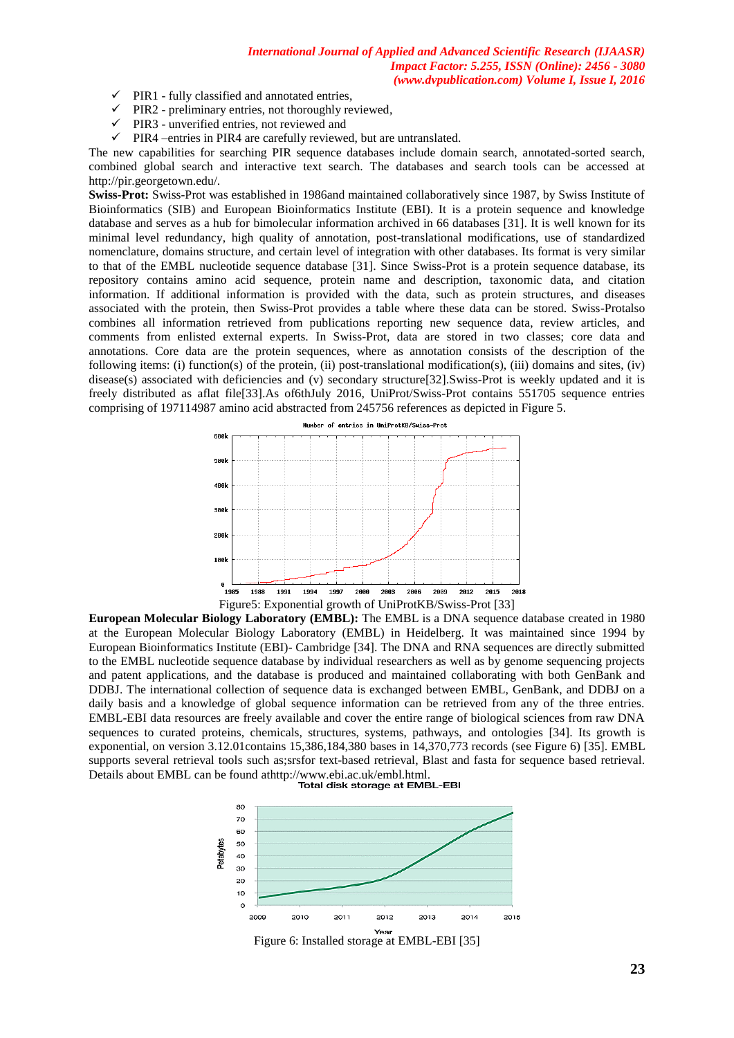- $\checkmark$  PIR1 fully classified and annotated entries,
- $\checkmark$  PIR2 preliminary entries, not thoroughly reviewed,
- $\checkmark$  PIR3 unverified entries, not reviewed and
- $\checkmark$  PIR4 –entries in PIR4 are carefully reviewed, but are untranslated.

The new capabilities for searching PIR sequence databases include domain search, annotated-sorted search, combined global search and interactive text search. The databases and search tools can be accessed at http://pir.georgetown.edu/.

**Swiss-Prot:** Swiss-Prot was established in 1986and maintained collaboratively since 1987, by Swiss Institute of Bioinformatics (SIB) and European Bioinformatics Institute (EBI). It is a protein sequence and knowledge database and serves as a hub for bimolecular information archived in 66 databases [31]. It is well known for its minimal level redundancy, high quality of annotation, post-translational modifications, use of standardized nomenclature, domains structure, and certain level of integration with other databases. Its format is very similar to that of the EMBL nucleotide sequence database [31]. Since Swiss-Prot is a protein sequence database, its repository contains amino acid sequence, protein name and description, taxonomic data, and citation information. If additional information is provided with the data, such as protein structures, and diseases associated with the protein, then Swiss-Prot provides a table where these data can be stored. Swiss-Protalso combines all information retrieved from publications reporting new sequence data, review articles, and comments from enlisted external experts. In Swiss-Prot, data are stored in two classes; core data and annotations. Core data are the protein sequences, where as annotation consists of the description of the following items: (i) function(s) of the protein, (ii) post-translational modification(s), (iii) domains and sites, (iv) disease(s) associated with deficiencies and (v) secondary structure[32]. Swiss-Prot is weekly updated and it is freely distributed as aflat file[33].As of6thJuly 2016, UniProt/Swiss-Prot contains 551705 sequence entries comprising of 197114987 amino acid abstracted from 245756 references as depicted in Figure 5.



**European Molecular Biology Laboratory (EMBL):** The EMBL is a DNA sequence database created in 1980 at the European Molecular Biology Laboratory (EMBL) in Heidelberg. It was maintained since 1994 by European Bioinformatics Institute (EBI)- Cambridge [34]. The DNA and RNA sequences are directly submitted to the EMBL nucleotide sequence database by individual researchers as well as by genome sequencing projects and patent applications, and the database is produced and maintained collaborating with both GenBank and DDBJ. The international collection of sequence data is exchanged between EMBL, GenBank, and DDBJ on a daily basis and a knowledge of global sequence information can be retrieved from any of the three entries. EMBL-EBI data resources are freely available and cover the entire range of biological sciences from raw DNA sequences to curated proteins, chemicals, structures, systems, pathways, and ontologies [34]. Its growth is exponential, on version 3.12.01contains 15,386,184,380 bases in 14,370,773 records (see Figure 6) [35]. EMBL supports several retrieval tools such as;srsfor text-based retrieval, Blast and fasta for sequence based retrieval. Details about EMBL can be found athttp://www.ebi.ac.uk/embl.html.



Figure 6: Installed storage at EMBL-EBI [35]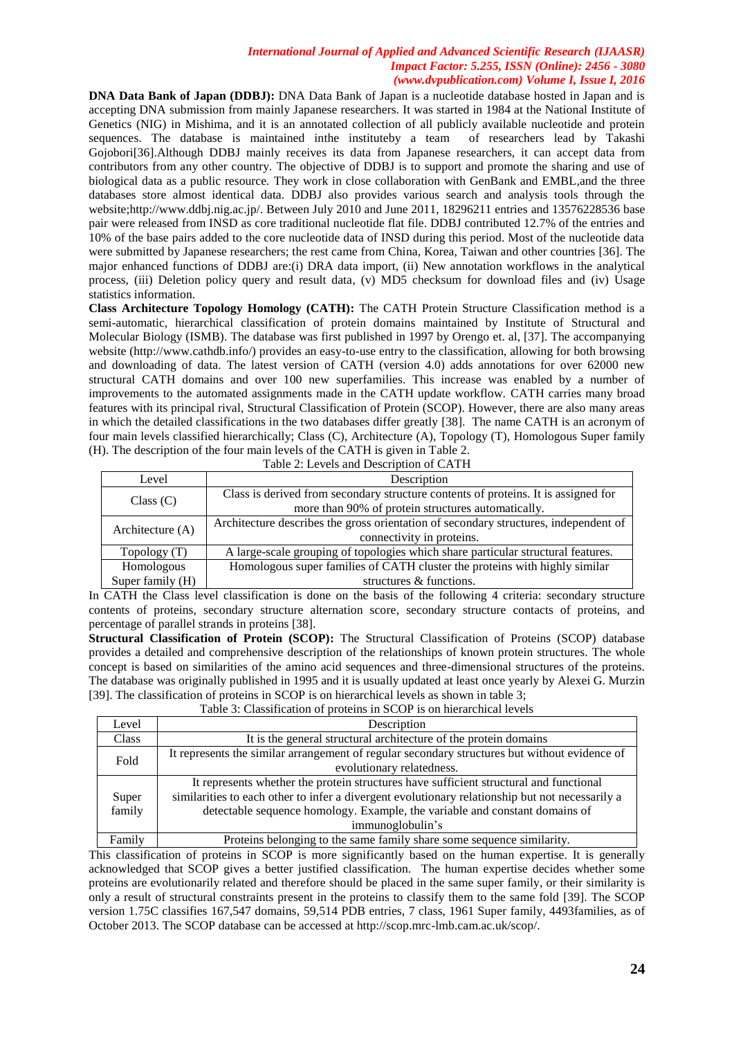**DNA Data Bank of Japan (DDBJ):** DNA Data Bank of Japan is a nucleotide database hosted in Japan and is accepting DNA submission from mainly Japanese researchers. It was started in 1984 at the National Institute of Genetics (NIG) in Mishima, and it is an annotated collection of all publicly available nucleotide and protein sequences. The database is maintained inthe instituteby a team of researchers lead by Takashi Gojobori[36].Although DDBJ mainly receives its data from Japanese researchers, it can accept data from contributors from any other country. The objective of DDBJ is to support and promote the sharing and use of biological data as a public resource. They work in close collaboration with GenBank and EMBL,and the three databases store almost identical data. DDBJ also provides various search and analysis tools through the website;http://www.ddbj.nig.ac.jp/. Between July 2010 and June 2011, 18296211 entries and 13576228536 base pair were released from INSD as core traditional nucleotide flat file. DDBJ contributed 12.7% of the entries and 10% of the base pairs added to the core nucleotide data of INSD during this period. Most of the nucleotide data were submitted by Japanese researchers; the rest came from China, Korea, Taiwan and other countries [36]. The major enhanced functions of DDBJ are:(i) DRA data import, (ii) New annotation workflows in the analytical process, (iii) Deletion policy query and result data, (v) MD5 checksum for download files and (iv) Usage statistics information.

**Class Architecture Topology Homology (CATH):** The CATH Protein Structure Classification method is a semi-automatic, hierarchical classification of protein domains maintained by Institute of Structural and Molecular Biology (ISMB). The database was first published in 1997 by Orengo et. al, [37]. The accompanying website (http://www.cathdb.info/) provides an easy-to-use entry to the classification, allowing for both browsing and downloading of data. The latest version of CATH (version 4.0) adds annotations for over 62000 new structural CATH domains and over 100 new superfamilies. This increase was enabled by a number of improvements to the automated assignments made in the CATH update workflow. CATH carries many broad features with its principal rival, Structural Classification of Protein (SCOP). However, there are also many areas in which the detailed classifications in the two databases differ greatly [38]. The name CATH is an acronym of four main levels classified hierarchically; Class (C), Architecture (A), Topology (T), Homologous Super family (H). The description of the four main levels of the CATH is given in Table 2.

| Level            | Description                                                                          |  |  |  |  |
|------------------|--------------------------------------------------------------------------------------|--|--|--|--|
| Class (C)        | Class is derived from secondary structure contents of proteins. It is assigned for   |  |  |  |  |
|                  | more than 90% of protein structures automatically.                                   |  |  |  |  |
| Architecture (A) | Architecture describes the gross orientation of secondary structures, independent of |  |  |  |  |
|                  | connectivity in proteins.                                                            |  |  |  |  |
| Topology (T)     | A large-scale grouping of topologies which share particular structural features.     |  |  |  |  |
| Homologous       | Homologous super families of CATH cluster the proteins with highly similar           |  |  |  |  |
| Super family (H) | structures & functions.                                                              |  |  |  |  |

|  |  |  | Table 2: Levels and Description of CATH |  |  |
|--|--|--|-----------------------------------------|--|--|

In CATH the Class level classification is done on the basis of the following 4 criteria: secondary structure contents of proteins, secondary structure alternation score, secondary structure contacts of proteins, and percentage of parallel strands in proteins [38].

**Structural Classification of Protein (SCOP):** The Structural Classification of Proteins (SCOP) database provides a detailed and comprehensive description of the relationships of known protein structures. The whole concept is based on similarities of the amino acid sequences and three-dimensional structures of the proteins. The database was originally published in 1995 and it is usually updated at least once yearly by Alexei G. Murzin [39]. The classification of proteins in SCOP is on hierarchical levels as shown in table 3; Table 3: Classification of proteins in SCOP is on hierarchical levels

| Tuble 5. Chassilication of proteins in SCOT to on incritement tevels |                                                                                                 |  |  |  |  |
|----------------------------------------------------------------------|-------------------------------------------------------------------------------------------------|--|--|--|--|
| Level                                                                | Description                                                                                     |  |  |  |  |
| Class                                                                | It is the general structural architecture of the protein domains                                |  |  |  |  |
| Fold                                                                 | It represents the similar arrangement of regular secondary structures but without evidence of   |  |  |  |  |
|                                                                      | evolutionary relatedness.                                                                       |  |  |  |  |
|                                                                      | It represents whether the protein structures have sufficient structural and functional          |  |  |  |  |
| Super                                                                | similarities to each other to infer a divergent evolutionary relationship but not necessarily a |  |  |  |  |
| family                                                               | detectable sequence homology. Example, the variable and constant domains of                     |  |  |  |  |
|                                                                      | immunoglobulin's                                                                                |  |  |  |  |
| Family                                                               | Proteins belonging to the same family share some sequence similarity.                           |  |  |  |  |

This classification of proteins in SCOP is more significantly based on the human expertise. It is generally acknowledged that SCOP gives a better justified classification. The human expertise decides whether some proteins are evolutionarily related and therefore should be placed in the same super family, or their similarity is only a result of structural constraints present in the proteins to classify them to the same fold [39]. The SCOP version 1.75C classifies 167,547 domains, 59,514 PDB entries, 7 class, 1961 Super family, 4493families, as of October 2013. The SCOP database can be accessed at http://scop.mrc-lmb.cam.ac.uk/scop/.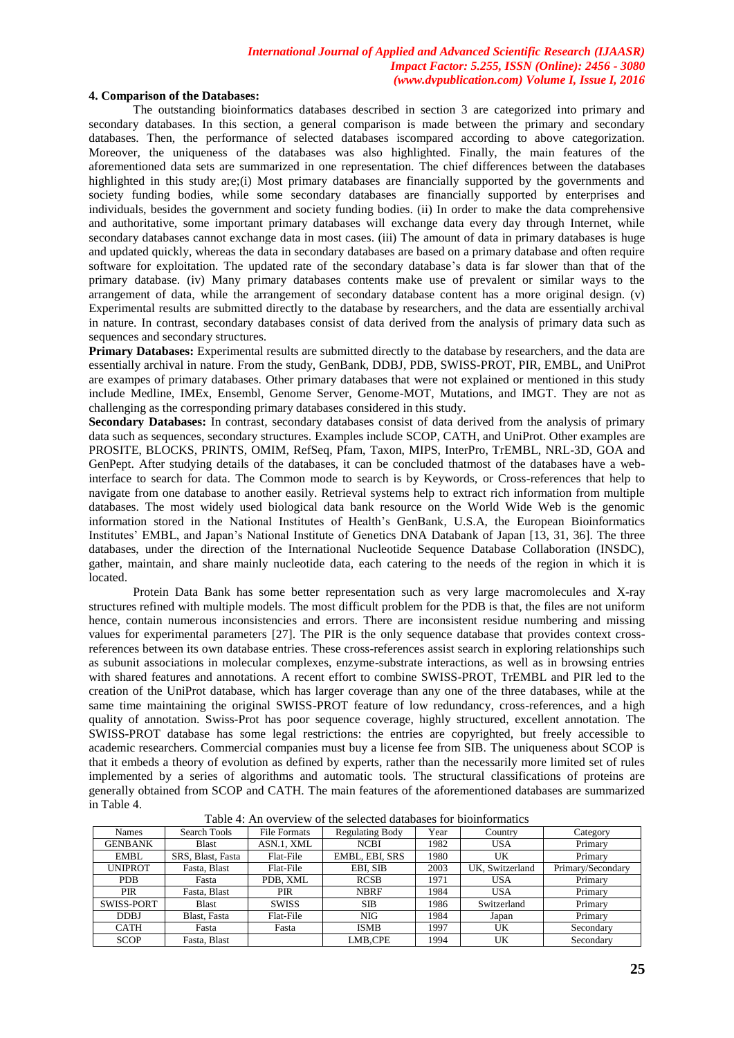#### **4. Comparison of the Databases:**

The outstanding bioinformatics databases described in section 3 are categorized into primary and secondary databases. In this section, a general comparison is made between the primary and secondary databases. Then, the performance of selected databases iscompared according to above categorization. Moreover, the uniqueness of the databases was also highlighted. Finally, the main features of the aforementioned data sets are summarized in one representation. The chief differences between the databases highlighted in this study are;(i) Most primary databases are financially supported by the governments and society funding bodies, while some secondary databases are financially supported by enterprises and individuals, besides the government and society funding bodies. (ii) In order to make the data comprehensive and authoritative, some important primary databases will exchange data every day through Internet, while secondary databases cannot exchange data in most cases. (iii) The amount of data in primary databases is huge and updated quickly, whereas the data in secondary databases are based on a primary database and often require software for exploitation. The updated rate of the secondary database's data is far slower than that of the primary database. (iv) Many primary databases contents make use of prevalent or similar ways to the arrangement of data, while the arrangement of secondary database content has a more original design. (v) Experimental results are submitted directly to the database by researchers, and the data are essentially archival in nature. In contrast, secondary databases consist of data derived from the analysis of primary data such as sequences and secondary structures.

Primary Databases: Experimental results are submitted directly to the database by researchers, and the data are essentially archival in nature. From the study, GenBank, DDBJ, PDB, SWISS-PROT, PIR, EMBL, and UniProt are exampes of primary databases. Other primary databases that were not explained or mentioned in this study include Medline, IMEx, Ensembl, Genome Server, Genome-MOT, Mutations, and IMGT. They are not as challenging as the corresponding primary databases considered in this study.

**Secondary Databases:** In contrast, secondary databases consist of data derived from the analysis of primary data such as sequences, secondary structures. Examples include SCOP, CATH, and UniProt. Other examples are PROSITE, BLOCKS, PRINTS, OMIM, RefSeq, Pfam, Taxon, MIPS, InterPro, TrEMBL, NRL-3D, GOA and GenPept. After studying details of the databases, it can be concluded thatmost of the databases have a webinterface to search for data. The Common mode to search is by Keywords, or Cross-references that help to navigate from one database to another easily. Retrieval systems help to extract rich information from multiple databases. The most widely used biological data bank resource on the World Wide Web is the genomic information stored in the National Institutes of Health's GenBank, U.S.A, the European Bioinformatics Institutes' EMBL, and Japan's National Institute of Genetics DNA Databank of Japan [13, 31, 36]. The three databases, under the direction of the International Nucleotide Sequence Database Collaboration (INSDC), gather, maintain, and share mainly nucleotide data, each catering to the needs of the region in which it is located.

Protein Data Bank has some better representation such as very large macromolecules and X-ray structures refined with multiple models. The most difficult problem for the PDB is that, the files are not uniform hence, contain numerous inconsistencies and errors. There are inconsistent residue numbering and missing values for experimental parameters [27]. The PIR is the only sequence database that provides context crossreferences between its own database entries. These cross-references assist search in exploring relationships such as subunit associations in molecular complexes, enzyme-substrate interactions, as well as in browsing entries with shared features and annotations. A recent effort to combine SWISS-PROT, TrEMBL and PIR led to the creation of the UniProt database, which has larger coverage than any one of the three databases, while at the same time maintaining the original SWISS-PROT feature of low redundancy, cross-references, and a high quality of annotation. Swiss-Prot has poor sequence coverage, highly structured, excellent annotation. The SWISS-PROT database has some legal restrictions: the entries are copyrighted, but freely accessible to academic researchers. Commercial companies must buy a license fee from SIB. The uniqueness about SCOP is that it embeds a theory of evolution as defined by experts, rather than the necessarily more limited set of rules implemented by a series of algorithms and automatic tools. The structural classifications of proteins are generally obtained from SCOP and CATH. The main features of the aforementioned databases are summarized in Table 4.

| <b>Names</b>   | Search Tools      | <b>File Formats</b> | <b>Regulating Body</b> | Year | Country         | Category          |  |
|----------------|-------------------|---------------------|------------------------|------|-----------------|-------------------|--|
| <b>GENBANK</b> | <b>Blast</b>      | ASN.1, XML          | <b>NCBI</b>            | 1982 | <b>USA</b>      | Primary           |  |
| EMBL           | SRS, Blast, Fasta | Flat-File           | EMBL, EBI, SRS         | 1980 | UK              | Primary           |  |
| <b>UNIPROT</b> | Fasta, Blast      | Flat-File           | EBI. SIB               | 2003 | UK, Switzerland | Primary/Secondary |  |
| <b>PDB</b>     | Fasta             | PDB. XML            | <b>RCSB</b>            | 1971 | <b>USA</b>      | Primary           |  |
| <b>PIR</b>     | Fasta, Blast      | PIR                 | <b>NBRF</b>            | 1984 | <b>USA</b>      | Primary           |  |
| SWISS-PORT     | <b>Blast</b>      | <b>SWISS</b>        | <b>SIB</b>             | 1986 | Switzerland     | Primary           |  |
| <b>DDBJ</b>    | Blast, Fasta      | Flat-File           | <b>NIG</b>             | 1984 | Japan           | Primary           |  |
| <b>CATH</b>    | Fasta             | Fasta               | <b>ISMB</b>            | 1997 | UK              | Secondary         |  |
| <b>SCOP</b>    | Fasta, Blast      |                     | LMB.CPE                | 1994 | UK              | Secondary         |  |

Table 4: An overview of the selected databases for bioinformatics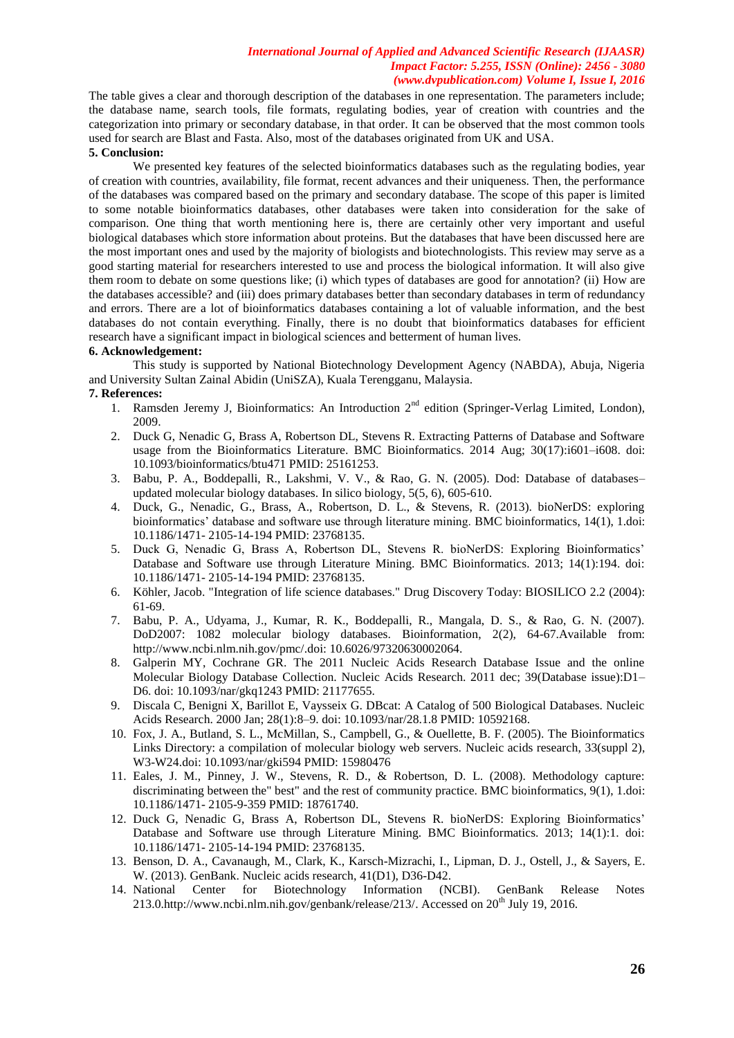The table gives a clear and thorough description of the databases in one representation. The parameters include; the database name, search tools, file formats, regulating bodies, year of creation with countries and the categorization into primary or secondary database, in that order. It can be observed that the most common tools used for search are Blast and Fasta. Also, most of the databases originated from UK and USA.

# **5. Conclusion:**

We presented key features of the selected bioinformatics databases such as the regulating bodies, year of creation with countries, availability, file format, recent advances and their uniqueness. Then, the performance of the databases was compared based on the primary and secondary database. The scope of this paper is limited to some notable bioinformatics databases, other databases were taken into consideration for the sake of comparison. One thing that worth mentioning here is, there are certainly other very important and useful biological databases which store information about proteins. But the databases that have been discussed here are the most important ones and used by the majority of biologists and biotechnologists. This review may serve as a good starting material for researchers interested to use and process the biological information. It will also give them room to debate on some questions like; (i) which types of databases are good for annotation? (ii) How are the databases accessible? and (iii) does primary databases better than secondary databases in term of redundancy and errors. There are a lot of bioinformatics databases containing a lot of valuable information, and the best databases do not contain everything. Finally, there is no doubt that bioinformatics databases for efficient research have a significant impact in biological sciences and betterment of human lives.

#### **6. Acknowledgement:**

This study is supported by National Biotechnology Development Agency (NABDA), Abuja, Nigeria and University Sultan Zainal Abidin (UniSZA), Kuala Terengganu, Malaysia.

### **7. References:**

- 1. Ramsden Jeremy J, Bioinformatics: An Introduction 2<sup>nd</sup> edition (Springer-Verlag Limited, London), 2009.
- 2. Duck G, Nenadic G, Brass A, Robertson DL, Stevens R. Extracting Patterns of Database and Software usage from the Bioinformatics Literature. BMC Bioinformatics. 2014 Aug; 30(17):i601–i608. doi: 10.1093/bioinformatics/btu471 PMID: 25161253.
- 3. Babu, P. A., Boddepalli, R., Lakshmi, V. V., & Rao, G. N. (2005). Dod: Database of databases– updated molecular biology databases. In silico biology, 5(5, 6), 605-610.
- 4. Duck, G., Nenadic, G., Brass, A., Robertson, D. L., & Stevens, R. (2013). bioNerDS: exploring bioinformatics' database and software use through literature mining. BMC bioinformatics, 14(1), 1.doi: 10.1186/1471- 2105-14-194 PMID: 23768135.
- 5. Duck G, Nenadic G, Brass A, Robertson DL, Stevens R. bioNerDS: Exploring Bioinformatics' Database and Software use through Literature Mining. BMC Bioinformatics. 2013; 14(1):194. doi: 10.1186/1471- 2105-14-194 PMID: 23768135.
- 6. Köhler, Jacob. "Integration of life science databases." Drug Discovery Today: BIOSILICO 2.2 (2004): 61-69.
- 7. Babu, P. A., Udyama, J., Kumar, R. K., Boddepalli, R., Mangala, D. S., & Rao, G. N. (2007). DoD2007: 1082 molecular biology databases. Bioinformation, 2(2), 64-67.Available from: http://www.ncbi.nlm.nih.gov/pmc/.doi: 10.6026/97320630002064.
- 8. Galperin MY, Cochrane GR. The 2011 Nucleic Acids Research Database Issue and the online Molecular Biology Database Collection. Nucleic Acids Research. 2011 dec; 39(Database issue):D1– D6. doi: 10.1093/nar/gkq1243 PMID: 21177655.
- 9. Discala C, Benigni X, Barillot E, Vaysseix G. DBcat: A Catalog of 500 Biological Databases. Nucleic Acids Research. 2000 Jan; 28(1):8–9. doi: 10.1093/nar/28.1.8 PMID: 10592168.
- 10. Fox, J. A., Butland, S. L., McMillan, S., Campbell, G., & Ouellette, B. F. (2005). The Bioinformatics Links Directory: a compilation of molecular biology web servers. Nucleic acids research, 33(suppl 2), W3-W24.doi: 10.1093/nar/gki594 PMID: 15980476
- 11. Eales, J. M., Pinney, J. W., Stevens, R. D., & Robertson, D. L. (2008). Methodology capture: discriminating between the" best" and the rest of community practice. BMC bioinformatics, 9(1), 1.doi: 10.1186/1471- 2105-9-359 PMID: 18761740.
- 12. Duck G, Nenadic G, Brass A, Robertson DL, Stevens R. bioNerDS: Exploring Bioinformatics' Database and Software use through Literature Mining. BMC Bioinformatics. 2013; 14(1):1. doi: 10.1186/1471- 2105-14-194 PMID: 23768135.
- 13. Benson, D. A., Cavanaugh, M., Clark, K., Karsch-Mizrachi, I., Lipman, D. J., Ostell, J., & Sayers, E. W. (2013). GenBank. Nucleic acids research, 41(D1), D36-D42.
- 14. National Center for Biotechnology Information (NCBI). GenBank Release Notes 213.0[.http://www.ncbi.nlm.nih.gov/genbank/release/213/.](http://www.ncbi.nlm.nih.gov/genbank/release/213/) Accessed on  $20<sup>th</sup>$  July 19, 2016.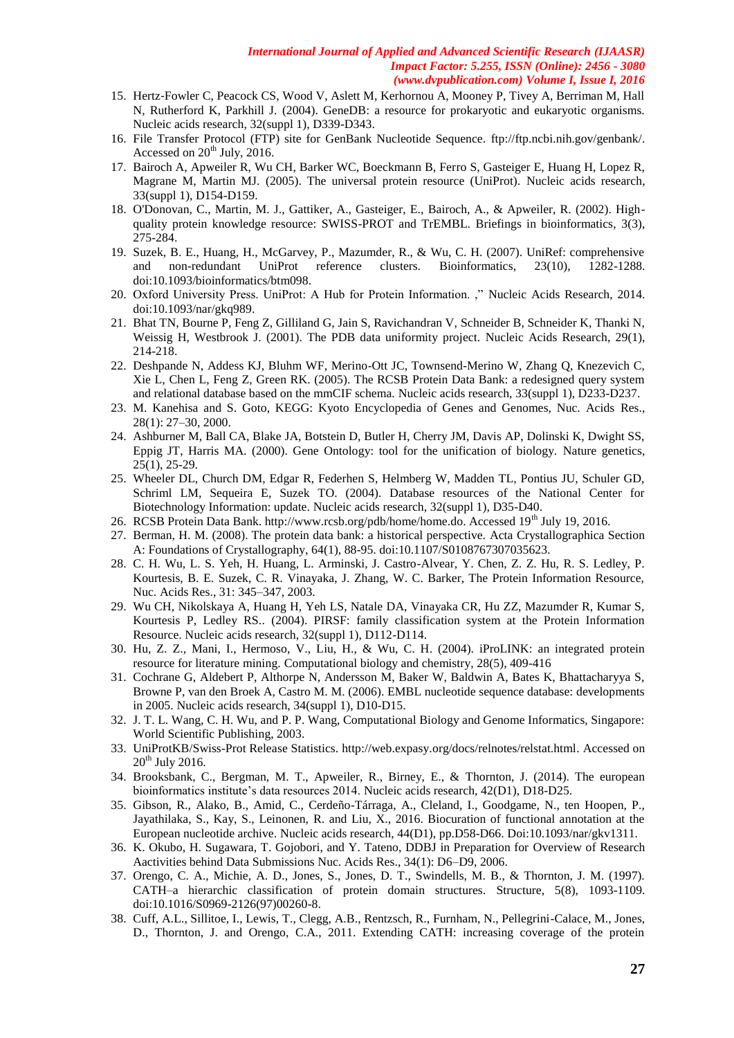- 15. Hertz-Fowler C, Peacock CS, Wood V, Aslett M, Kerhornou A, Mooney P, Tivey A, Berriman M, Hall N, Rutherford K, Parkhill J. (2004). GeneDB: a resource for prokaryotic and eukaryotic organisms. Nucleic acids research, 32(suppl 1), D339-D343.
- 16. File Transfer Protocol (FTP) site for GenBank Nucleotide Sequence. [ftp://ftp.ncbi.nih.gov/genbank/.](ftp://ftp.ncbi.nih.gov/genbank/) Accessed on 20<sup>th</sup> July, 2016.
- 17. Bairoch A, Apweiler R, Wu CH, Barker WC, Boeckmann B, Ferro S, Gasteiger E, Huang H, Lopez R, Magrane M, Martin MJ. (2005). The universal protein resource (UniProt). Nucleic acids research, 33(suppl 1), D154-D159.
- 18. O'Donovan, C., Martin, M. J., Gattiker, A., Gasteiger, E., Bairoch, A., & Apweiler, R. (2002). Highquality protein knowledge resource: SWISS-PROT and TrEMBL. Briefings in bioinformatics, 3(3), 275-284.
- 19. Suzek, B. E., Huang, H., McGarvey, P., Mazumder, R., & Wu, C. H. (2007). UniRef: comprehensive and non-redundant UniProt reference clusters. Bioinformatics, 23(10), 1282-1288. doi:10.1093/bioinformatics/btm098.
- 20. Oxford University Press. UniProt: A Hub for Protein Information. ," Nucleic Acids Research, 2014. doi:10.1093/nar/gkq989.
- 21. Bhat TN, Bourne P, Feng Z, Gilliland G, Jain S, Ravichandran V, Schneider B, Schneider K, Thanki N, Weissig H, Westbrook J. (2001). The PDB data uniformity project. Nucleic Acids Research, 29(1), 214-218.
- 22. Deshpande N, Addess KJ, Bluhm WF, Merino-Ott JC, Townsend-Merino W, Zhang Q, Knezevich C, Xie L, Chen L, Feng Z, Green RK. (2005). The RCSB Protein Data Bank: a redesigned query system and relational database based on the mmCIF schema. Nucleic acids research, 33(suppl 1), D233-D237.
- 23. M. Kanehisa and S. Goto, KEGG: Kyoto Encyclopedia of Genes and Genomes, Nuc. Acids Res., 28(1): 27–30, 2000.
- 24. Ashburner M, Ball CA, Blake JA, Botstein D, Butler H, Cherry JM, Davis AP, Dolinski K, Dwight SS, Eppig JT, Harris MA. (2000). Gene Ontology: tool for the unification of biology. Nature genetics, 25(1), 25-29.
- 25. Wheeler DL, Church DM, Edgar R, Federhen S, Helmberg W, Madden TL, Pontius JU, Schuler GD, Schriml LM, Sequeira E, Suzek TO. (2004). Database resources of the National Center for Biotechnology Information: update. Nucleic acids research, 32(suppl 1), D35-D40.
- 26. RCSB Protein Data Bank. http://www.rcsb.org/pdb/home/home.do. Accessed 19<sup>th</sup> July 19, 2016.
- 27. Berman, H. M. (2008). The protein data bank: a historical perspective. Acta Crystallographica Section A: Foundations of Crystallography, 64(1), 88-95. doi:10.1107/S0108767307035623.
- 28. C. H. Wu, L. S. Yeh, H. Huang, L. Arminski, J. Castro-Alvear, Y. Chen, Z. Z. Hu, R. S. Ledley, P. Kourtesis, B. E. Suzek, C. R. Vinayaka, J. Zhang, W. C. Barker, The Protein Information Resource, Nuc. Acids Res., 31: 345–347, 2003.
- 29. Wu CH, Nikolskaya A, Huang H, Yeh LS, Natale DA, Vinayaka CR, Hu ZZ, Mazumder R, Kumar S, Kourtesis P, Ledley RS.. (2004). PIRSF: family classification system at the Protein Information Resource. Nucleic acids research, 32(suppl 1), D112-D114.
- 30. Hu, Z. Z., Mani, I., Hermoso, V., Liu, H., & Wu, C. H. (2004). iProLINK: an integrated protein resource for literature mining. Computational biology and chemistry, 28(5), 409-416
- 31. Cochrane G, Aldebert P, Althorpe N, Andersson M, Baker W, Baldwin A, Bates K, Bhattacharyya S, Browne P, van den Broek A, Castro M. M. (2006). EMBL nucleotide sequence database: developments in 2005. Nucleic acids research, 34(suppl 1), D10-D15.
- 32. J. T. L. Wang, C. H. Wu, and P. P. Wang, Computational Biology and Genome Informatics, Singapore: World Scientific Publishing, 2003.
- 33. UniProtKB/Swiss-Prot Release Statistics. [http://web.expasy.org/docs/relnotes/relstat.html.](http://web.expasy.org/docs/relnotes/relstat.html) Accessed on  $20<sup>th</sup>$  July 2016.
- 34. Brooksbank, C., Bergman, M. T., Apweiler, R., Birney, E., & Thornton, J. (2014). The european bioinformatics institute's data resources 2014. Nucleic acids research, 42(D1), D18-D25.
- 35. Gibson, R., Alako, B., Amid, C., Cerdeño-Tárraga, A., Cleland, I., Goodgame, N., ten Hoopen, P., Jayathilaka, S., Kay, S., Leinonen, R. and Liu, X., 2016. Biocuration of functional annotation at the European nucleotide archive. Nucleic acids research, 44(D1), pp.D58-D66. Doi:10.1093/nar/gkv1311.
- 36. K. Okubo, H. Sugawara, T. Gojobori, and Y. Tateno, DDBJ in Preparation for Overview of Research Aactivities behind Data Submissions Nuc. Acids Res., 34(1): D6–D9, 2006.
- 37. Orengo, C. A., Michie, A. D., Jones, S., Jones, D. T., Swindells, M. B., & Thornton, J. M. (1997). CATH–a hierarchic classification of protein domain structures. Structure, 5(8), 1093-1109. doi:10.1016/S0969-2126(97)00260-8.
- 38. Cuff, A.L., Sillitoe, I., Lewis, T., Clegg, A.B., Rentzsch, R., Furnham, N., Pellegrini-Calace, M., Jones, D., Thornton, J. and Orengo, C.A., 2011. Extending CATH: increasing coverage of the protein